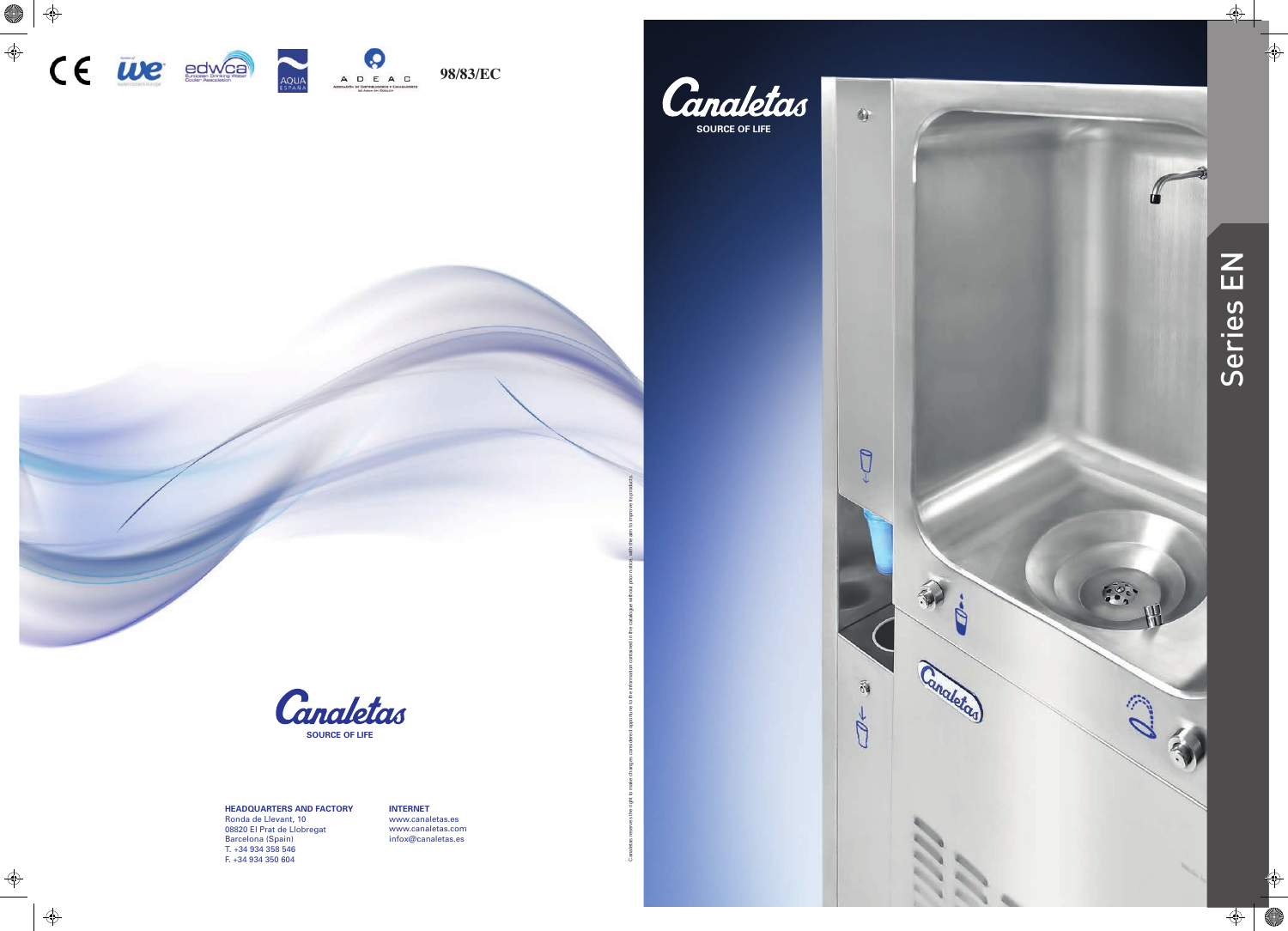



Canaletas reserves the right to make changes considered opportune to the information contained in the catalogue without prior notice, with the aim to improve its products.

Ğ

 $64$ 

 $\bigcirc$ J.

 $\widehat{\mathfrak{g}_0}$ 

 $\mathbb{Z}^+$ 

## **HEADQUARTERS AND FACTORY** Ronda de Llevant, 10 08820 El Prat de Llobregat Barcelona (Spain)<br>T. +34 934 358 546 F. +34 934 350 604



**INTERNE T** ww w.canaletas.es ww w.canaletas.com infox@canaletas.es